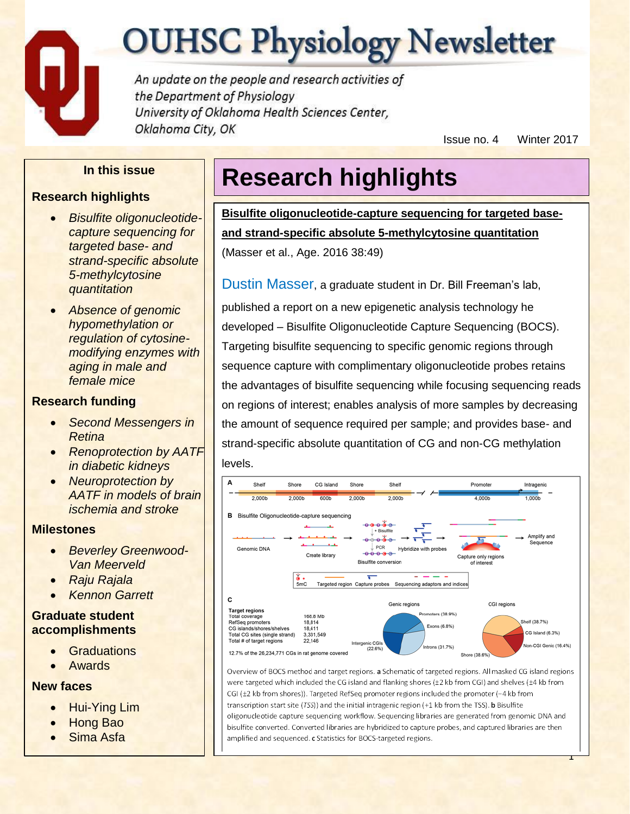# **OUHSC Physiology Newsletter**

An update on the people and research activities of the Department of Physiology University of Oklahoma Health Sciences Center, Oklahoma City, OK

Issue no. 4 Winter 2017

#### **In this issue**

#### **Research highlights**

- *Bisulfite oligonucleotidecapture sequencing for targeted base- and strand-specific absolute 5-methylcytosine quantitation*
- *Absence of genomic hypomethylation or regulation of cytosinemodifying enzymes with aging in male and female mice*

#### **Research funding**

- *Second Messengers in Retina*
- *Renoprotection by AATF in diabetic kidneys*
- *Neuroprotection by AATF in models of brain ischemia and stroke*

#### **Milestones**

- *Beverley Greenwood-Van Meerveld*
- *Raju Rajala*
- *Kennon Garrett*

#### **Graduate student accomplishments**

- **Graduations**
- Awards

#### **New faces**

- **Hui-Ying Lim**
- Hong Bao
- Sima Asfa

# **Research highlights**

**Bisulfite oligonucleotide-capture sequencing for targeted baseand strand-specific absolute 5-methylcytosine quantitation** (Masser et al., Age. 2016 38:49)

Dustin Masser, a graduate student in Dr. Bill Freeman's lab,

published a report on a new epigenetic analysis technology he developed – Bisulfite Oligonucleotide Capture Sequencing (BOCS). Targeting bisulfite sequencing to specific genomic regions through sequence capture with complimentary oligonucleotide probes retains the advantages of bisulfite sequencing while focusing sequencing reads on regions of interest; enables analysis of more samples by decreasing the amount of sequence required per sample; and provides base- and strand-specific absolute quantitation of CG and non-CG methylation levels.



Overview of BOCS method and target regions. a Schematic of targeted regions. All masked CG island regions were targeted which included the CG island and flanking shores (±2 kb from CGI) and shelves (±4 kb from CGI (±2 kb from shores)). Targeted RefSeq promoter regions included the promoter (-4 kb from transcription start site (TSS)) and the initial intragenic region (+1 kb from the TSS). b Bisulfite oligonucleotide capture sequencing workflow. Sequencing libraries are generated from genomic DNA and bisulfite converted. Converted libraries are hybridized to capture probes, and captured libraries are then amplified and sequenced. c Statistics for BOCS-targeted regions.

1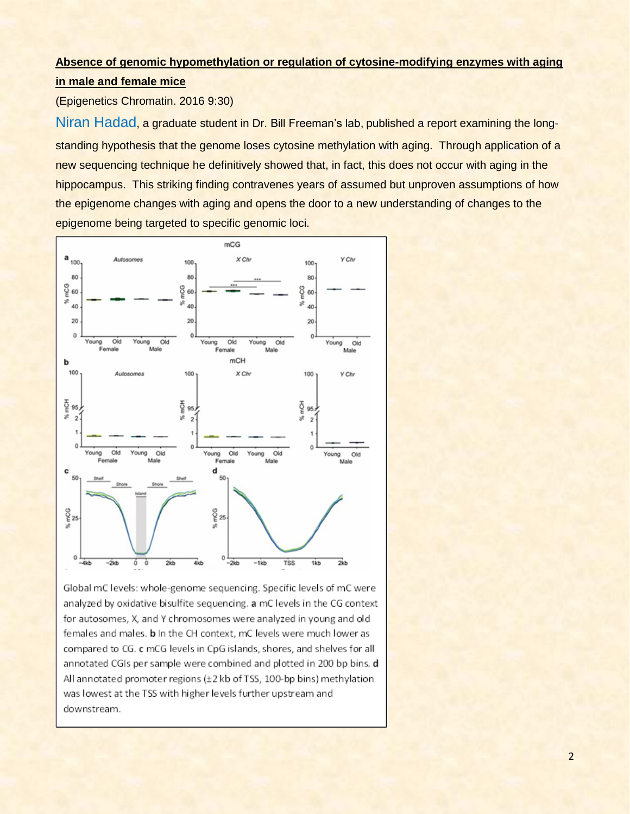#### **Absence of genomic hypomethylation or regulation of cytosine-modifying enzymes with aging in male and female mice**

(Epigenetics Chromatin. 2016 9:30)

Niran Hadad, a graduate student in Dr. Bill Freeman's lab, published a report examining the longstanding hypothesis that the genome loses cytosine methylation with aging. Through application of a new sequencing technique he definitively showed that, in fact, this does not occur with aging in the hippocampus. This striking finding contravenes years of assumed but unproven assumptions of how the epigenome changes with aging and opens the door to a new understanding of changes to the epigenome being targeted to specific genomic loci.



Global mC levels: whole-genome sequencing. Specific levels of mC were analyzed by oxidative bisulfite sequencing. a mC levels in the CG context for autosomes, X, and Y chromosomes were analyzed in young and old females and males. b In the CH context, mC levels were much lower as compared to CG. c mCG levels in CpG islands, shores, and shelves for all annotated CGIs per sample were combined and plotted in 200 bp bins. d All annotated promoter regions (±2 kb of TSS, 100-bp bins) methylation was lowest at the TSS with higher levels further upstream and downstream.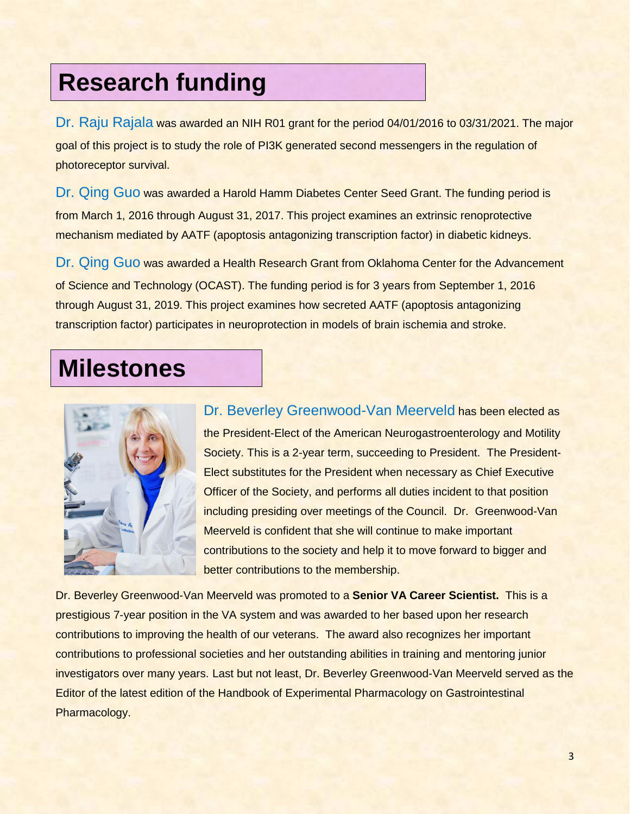## **Research funding**

Dr. Raju Rajala was awarded an NIH R01 grant for the period 04/01/2016 to 03/31/2021. The major goal of this project is to study the role of PI3K generated second messengers in the regulation of photoreceptor survival.

Dr. Qing Guo was awarded a Harold Hamm Diabetes Center Seed Grant. The funding period is from March 1, 2016 through August 31, 2017. This project examines an extrinsic renoprotective mechanism mediated by AATF (apoptosis antagonizing transcription factor) in diabetic kidneys.

Dr. Qing Guo was awarded a Health Research Grant from Oklahoma Center for the Advancement of Science and Technology (OCAST). The funding period is for 3 years from September 1, 2016 through August 31, 2019. This project examines how secreted AATF (apoptosis antagonizing transcription factor) participates in neuroprotection in models of brain ischemia and stroke.

### **Milestones**



Dr. Beverley Greenwood-Van Meerveld has been elected as the President-Elect of the American Neurogastroenterology and Motility Society. This is a 2-year term, succeeding to President. The President-Elect substitutes for the President when necessary as Chief Executive Officer of the Society, and performs all duties incident to that position including presiding over meetings of the Council. Dr. Greenwood-Van Meerveld is confident that she will continue to make important contributions to the society and help it to move forward to bigger and better contributions to the membership.

Dr. Beverley Greenwood-Van Meerveld was promoted to a **Senior VA Career Scientist.** This is a prestigious 7-year position in the VA system and was awarded to her based upon her research contributions to improving the health of our veterans. The award also recognizes her important contributions to professional societies and her outstanding abilities in training and mentoring junior investigators over many years. Last but not least, Dr. Beverley Greenwood-Van Meerveld served as the Editor of the latest edition of the Handbook of Experimental Pharmacology on Gastrointestinal Pharmacology.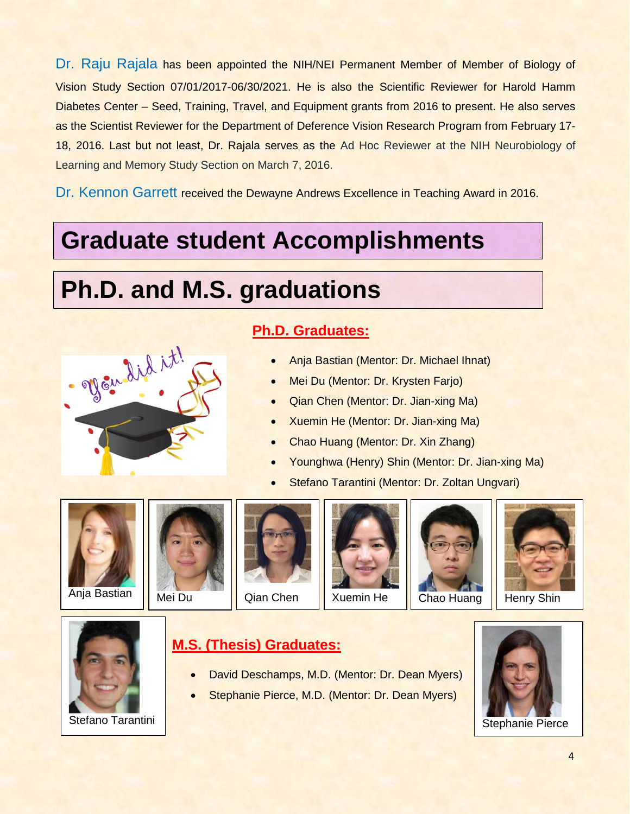Dr. Raju Rajala has been appointed the NIH/NEI Permanent Member of Member of Biology of Vision Study Section 07/01/2017-06/30/2021. He is also the Scientific Reviewer for Harold Hamm Diabetes Center – Seed, Training, Travel, and Equipment grants from 2016 to present. He also serves as the Scientist Reviewer for the Department of Deference Vision Research Program from February 17- 18, 2016. Last but not least, Dr. Rajala serves as the Ad Hoc Reviewer at the NIH Neurobiology of Learning and Memory Study Section on March 7, 2016.

Dr. Kennon Garrett received the Dewayne Andrews Excellence in Teaching Award in 2016.

### **Graduate student Accomplishments**

# **Ph.D. and M.S. graduations**



#### **Ph.D. Graduates:**

- Anja Bastian (Mentor: Dr. Michael Ihnat)
- Mei Du (Mentor: Dr. Krysten Farjo)
- Qian Chen (Mentor: Dr. Jian-xing Ma)
- Xuemin He (Mentor: Dr. Jian-xing Ma)
- Chao Huang (Mentor: Dr. Xin Zhang)
- Younghwa (Henry) Shin (Mentor: Dr. Jian-xing Ma)
- Stefano Tarantini (Mentor: Dr. Zoltan Ungvari)















### **M.S. (Thesis) Graduates:**

- David Deschamps, M.D. (Mentor: Dr. Dean Myers)
- Stephanie Pierce, M.D. (Mentor: Dr. Dean Myers)



Stephanie Pierce

Stefano Tarantini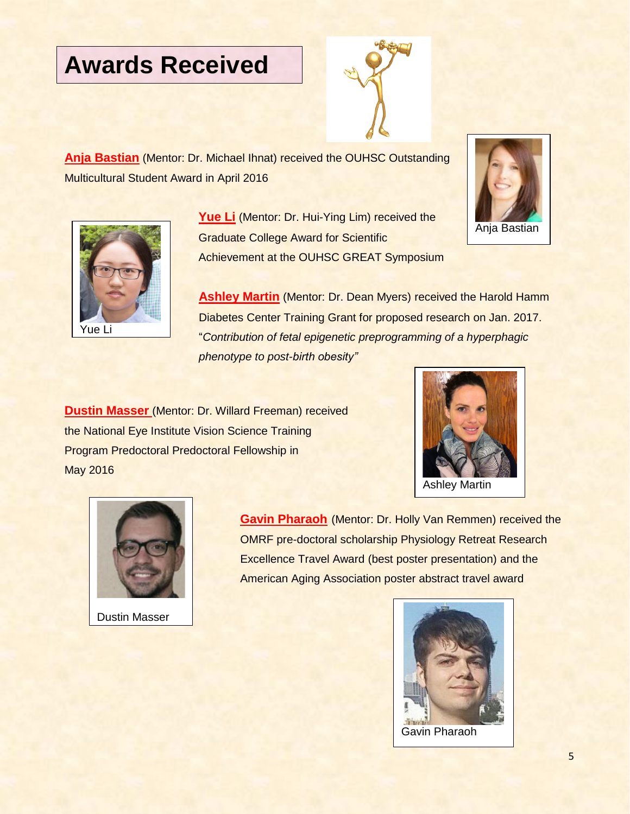### **Awards Received**



**Anja Bastian** (Mentor: Dr. Michael Ihnat) received the OUHSC Outstanding Multicultural Student Award in April 2016



Yue Li

Yue Li (Mentor: Dr. Hui-Ying Lim) received the Graduate College Award for Scientific Achievement at the OUHSC GREAT Symposium



Anja Bastian

**Ashley Martin** (Mentor: Dr. Dean Myers) received the Harold Hamm Diabetes Center Training Grant for proposed research on Jan. 2017. "*Contribution of fetal epigenetic preprogramming of a hyperphagic phenotype to post-birth obesity"*

**Dustin Masser** (Mentor: Dr. Willard Freeman) received the National Eye Institute Vision Science Training Program Predoctoral Predoctoral Fellowship in May 2016





Dustin Masser

**Gavin Pharaoh** (Mentor: Dr. Holly Van Remmen) received the OMRF pre-doctoral scholarship Physiology Retreat Research Excellence Travel Award (best poster presentation) and the American Aging Association poster abstract travel award